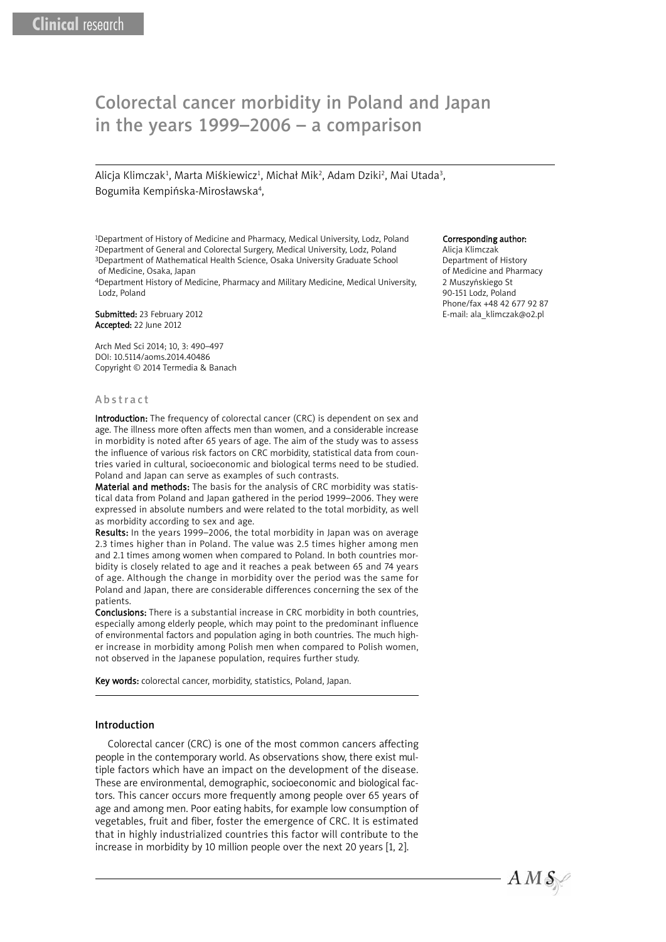# Colorectal cancer morbidity in Poland and Japan Colorectal cancer morbidity in Poland and Japan in the years 1999–2006 – a comparison in the years 1999–2006 – a comparison

Alicja Klimczak<sup>1</sup>, Marta Miśkiewicz<sup>1</sup>, Michał Mik<sup>2</sup>, Adam Dziki<sup>2</sup>, Mai Utada<sup>3</sup>, Bogumiła Kempińska-Mirosławska<sup>4</sup>,

1Department of History of Medicine and Pharmacy, Medical University, Lodz, Poland 2Department of General and Colorectal Surgery, Medical University, Lodz, Poland 3Department of Mathematical Health Science, Osaka University Graduate School of Medicine, Osaka, Japan

4Department History of Medicine, Pharmacy and Military Medicine, Medical University, Lodz, Poland

Submitted: 23 February 2012 Accepted: 22 June 2012

Arch Med Sci 2014; 10, 3: 490–497 DOI: 10.5114/aoms.2014.40486 Copyright © 2014 Termedia & Banach

### **Abstract**

Introduction: The frequency of colorectal cancer (CRC) is dependent on sex and age. The illness more often affects men than women, and a considerable increase in morbidity is noted after 65 years of age. The aim of the study was to assess the influence of various risk factors on CRC morbidity, statistical data from countries varied in cultural, socioeconomic and biological terms need to be studied. Poland and Japan can serve as examples of such contrasts.

Material and methods: The basis for the analysis of CRC morbidity was statistical data from Poland and Japan gathered in the period 1999–2006. They were expressed in absolute numbers and were related to the total morbidity, as well as morbidity according to sex and age.

Results: In the years 1999–2006, the total morbidity in Japan was on average 2.3 times higher than in Poland. The value was 2.5 times higher among men and 2.1 times among women when compared to Poland. In both countries morbidity is closely related to age and it reaches a peak between 65 and 74 years of age. Although the change in morbidity over the period was the same for Poland and Japan, there are considerable differences concerning the sex of the patients.

Conclusions: There is a substantial increase in CRC morbidity in both countries, especially among elderly people, which may point to the predominant influence of environmental factors and population aging in both countries. The much higher increase in morbidity among Polish men when compared to Polish women, not observed in the Japanese population, requires further study.

Key words: colorectal cancer, morbidity, statistics, Poland, Japan.

#### Introduction

Colorectal cancer (CRC) is one of the most common cancers affecting people in the contemporary world. As observations show, there exist multiple factors which have an impact on the development of the disease. These are environmental, demographic, socioeconomic and biological factors. This cancer occurs more frequently among people over 65 years of age and among men. Poor eating habits, for example low consumption of vegetables, fruit and fiber, foster the emergence of CRC. It is estimated that in highly industrialized countries this factor will contribute to the increase in morbidity by 10 million people over the next 20 years [1, 2].

#### Corresponding author:

Alicja Klimczak Department of History of Medicine and Pharmacy 2 Muszyńskiego St 90-151 Lodz, Poland Phone/fax +48 42 677 92 87 E-mail: ala\_klimczak@o2.pl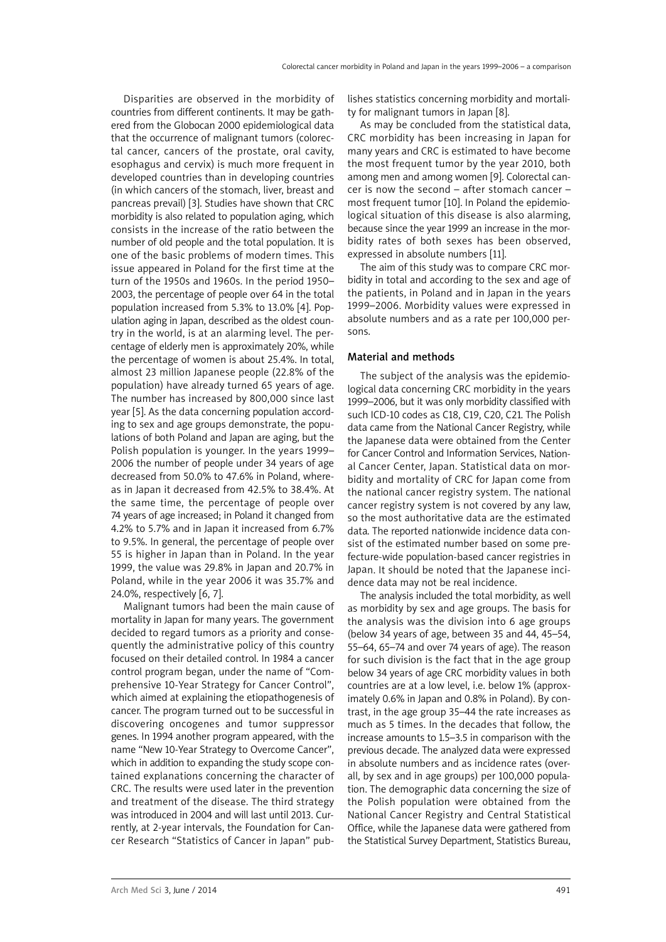Disparities are observed in the morbidity of countries from different continents. It may be gathered from the Globocan 2000 epidemiological data that the occurrence of malignant tumors (colorectal cancer, cancers of the prostate, oral cavity, esophagus and cervix) is much more frequent in developed countries than in developing countries (in which cancers of the stomach, liver, breast and pancreas prevail) [3]. Studies have shown that CRC morbidity is also related to population aging, which consists in the increase of the ratio between the number of old people and the total population. It is one of the basic problems of modern times. This issue appeared in Poland for the first time at the turn of the 1950s and 1960s. In the period 1950– 2003, the percentage of people over 64 in the total population increased from 5.3% to 13.0% [4]. Population aging in Japan, described as the oldest country in the world, is at an alarming level. The percentage of elderly men is approximately 20%, while the percentage of women is about 25.4%. In total, almost 23 million Japanese people (22.8% of the population) have already turned 65 years of age. The number has increased by 800,000 since last year [5]. As the data concerning population according to sex and age groups demonstrate, the populations of both Poland and Japan are aging, but the Polish population is younger. In the years 1999– 2006 the number of people under 34 years of age decreased from 50.0% to 47.6% in Poland, whereas in Japan it decreased from 42.5% to 38.4%. At the same time, the percentage of people over 74 years of age increased; in Poland it changed from 4.2% to 5.7% and in Japan it increased from 6.7% to 9.5%. In general, the percentage of people over 55 is higher in Japan than in Poland. In the year 1999, the value was 29.8% in Japan and 20.7% in Poland, while in the year 2006 it was 35.7% and 24.0%, respectively [6, 7].

Malignant tumors had been the main cause of mortality in Japan for many years. The government decided to regard tumors as a priority and consequently the administrative policy of this country focused on their detailed control. In 1984 a cancer control program began, under the name of "Comprehensive 10-Year Strategy for Cancer Control", which aimed at explaining the etiopathogenesis of cancer. The program turned out to be successful in discovering oncogenes and tumor suppressor genes. In 1994 another program appeared, with the name "New 10-Year Strategy to Overcome Cancer", which in addition to expanding the study scope contained explanations concerning the character of CRC. The results were used later in the prevention and treatment of the disease. The third strategy was introduced in 2004 and will last until 2013. Currently, at 2-year intervals, the Foundation for Cancer Research "Statistics of Cancer in Japan" publishes statistics concerning morbidity and mortality for malignant tumors in Japan [8].

As may be concluded from the statistical data, CRC morbidity has been increasing in Japan for many years and CRC is estimated to have become the most frequent tumor by the year 2010, both among men and among women [9]. Colorectal cancer is now the second – after stomach cancer – most frequent tumor [10]. In Poland the epidemiological situation of this disease is also alarming, because since the year 1999 an increase in the morbidity rates of both sexes has been observed, expressed in absolute numbers [11].

The aim of this study was to compare CRC morbidity in total and according to the sex and age of the patients, in Poland and in Japan in the years 1999–2006. Morbidity values were expressed in absolute numbers and as a rate per 100,000 persons.

## Material and methods

The subject of the analysis was the epidemiological data concerning CRC morbidity in the years 1999–2006, but it was only morbidity classified with such ICD-10 codes as C18, C19, C20, C21. The Polish data came from the National Cancer Registry, while the Japanese data were obtained from the Center for Cancer Control and Information Services, National Cancer Center, Japan. Statistical data on morbidity and mortality of CRC for Japan come from the national cancer registry system. The national cancer registry system is not covered by any law, so the most authoritative data are the estimated data. The reported nationwide incidence data consist of the estimated number based on some prefecture-wide population-based cancer registries in Japan. It should be noted that the Japanese incidence data may not be real incidence.

The analysis included the total morbidity, as well as morbidity by sex and age groups. The basis for the analysis was the division into 6 age groups (below 34 years of age, between 35 and 44, 45–54, 55–64, 65–74 and over 74 years of age). The reason for such division is the fact that in the age group below 34 years of age CRC morbidity values in both countries are at a low level, i.e. below 1% (approximately 0.6% in Japan and 0.8% in Poland). By contrast, in the age group 35–44 the rate increases as much as 5 times. In the decades that follow, the increase amounts to 1.5–3.5 in comparison with the previous decade. The analyzed data were expressed in absolute numbers and as incidence rates (overall, by sex and in age groups) per 100,000 population. The demographic data concerning the size of the Polish population were obtained from the National Cancer Registry and Central Statistical Office, while the Japanese data were gathered from the Statistical Survey Department, Statistics Bureau,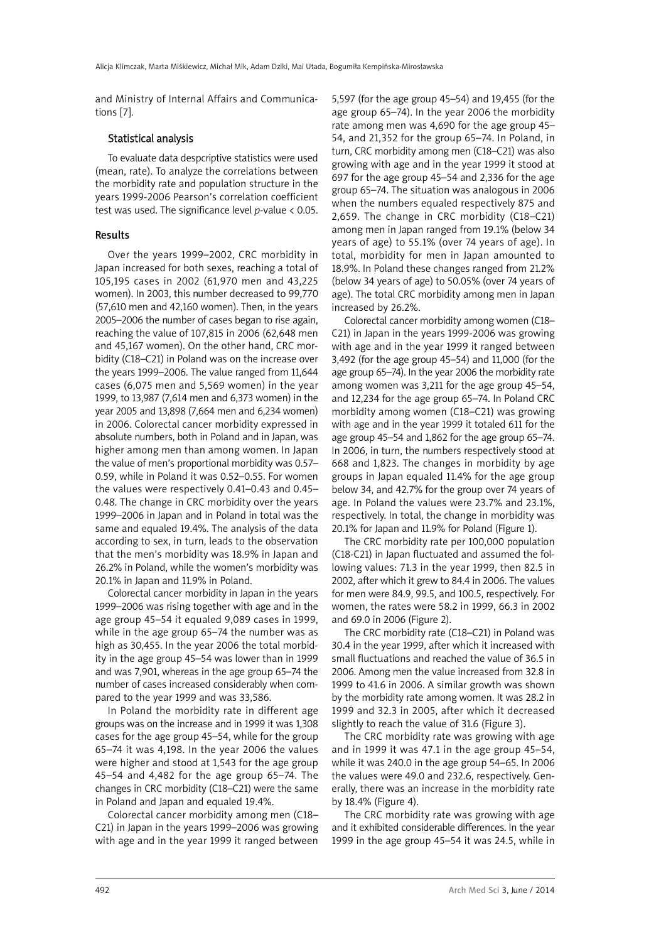and Ministry of Internal Affairs and Communications [7].

# Statistical analysis

To evaluate data despcriptive statistics were used (mean, rate). To analyze the correlations between the morbidity rate and population structure in the years 1999-2006 Pearson's correlation coefficient test was used. The significance level *p*-value < 0.05.

# Results

Over the years 1999–2002, CRC morbidity in Japan increased for both sexes, reaching a total of 105,195 cases in 2002 (61,970 men and 43,225 women). In 2003, this number decreased to 99,770 (57,610 men and 42,160 women). Then, in the years 2005–2006 the number of cases began to rise again, reaching the value of 107,815 in 2006 (62,648 men and 45,167 women). On the other hand, CRC morbidity (C18–C21) in Poland was on the increase over the years 1999–2006. The value ranged from 11,644 cases (6,075 men and 5,569 women) in the year 1999, to 13,987 (7,614 men and 6,373 women) in the year 2005 and 13,898 (7,664 men and 6,234 women) in 2006. Colorectal cancer morbidity expressed in absolute numbers, both in Poland and in Japan, was higher among men than among women. In Japan the value of men's proportional morbidity was 0.57– 0.59, while in Poland it was 0.52–0.55. For women the values were respectively 0.41–0.43 and 0.45– 0.48. The change in CRC morbidity over the years 1999–2006 in Japan and in Poland in total was the same and equaled 19.4%. The analysis of the data according to sex, in turn, leads to the observation that the men's morbidity was 18.9% in Japan and 26.2% in Poland, while the women's morbidity was 20.1% in Japan and 11.9% in Poland.

Colorectal cancer morbidity in Japan in the years 1999–2006 was rising together with age and in the age group 45–54 it equaled 9,089 cases in 1999, while in the age group 65–74 the number was as high as 30,455. In the year 2006 the total morbidity in the age group 45–54 was lower than in 1999 and was 7,901, whereas in the age group 65–74 the number of cases increased considerably when compared to the year 1999 and was 33,586.

In Poland the morbidity rate in different age groups was on the increase and in 1999 it was 1,308 cases for the age group 45–54, while for the group 65–74 it was 4,198. In the year 2006 the values were higher and stood at 1,543 for the age group 45–54 and 4,482 for the age group 65–74. The changes in CRC morbidity (C18–C21) were the same in Poland and Japan and equaled 19.4%.

Colorectal cancer morbidity among men (C18– C21) in Japan in the years 1999–2006 was growing with age and in the year 1999 it ranged between 5,597 (for the age group 45–54) and 19,455 (for the age group 65–74). In the year 2006 the morbidity rate among men was 4,690 for the age group 45– 54, and 21,352 for the group 65–74. In Poland, in turn, CRC morbidity among men (C18–C21) was also growing with age and in the year 1999 it stood at 697 for the age group 45–54 and 2,336 for the age group 65–74. The situation was analogous in 2006 when the numbers equaled respectively 875 and 2,659. The change in CRC morbidity (C18–C21) among men in Japan ranged from 19.1% (below 34 years of age) to 55.1% (over 74 years of age). In total, morbidity for men in Japan amounted to 18.9%. In Poland these changes ranged from 21.2% (below 34 years of age) to 50.05% (over 74 years of age). The total CRC morbidity among men in Japan increased by 26.2%.

Colorectal cancer morbidity among women (C18– C21) in Japan in the years 1999-2006 was growing with age and in the year 1999 it ranged between 3,492 (for the age group 45–54) and 11,000 (for the age group 65–74). In the year 2006 the morbidity rate among women was 3,211 for the age group 45–54, and 12,234 for the age group 65–74. In Poland CRC morbidity among women (C18–C21) was growing with age and in the year 1999 it totaled 611 for the age group 45–54 and 1,862 for the age group 65–74. In 2006, in turn, the numbers respectively stood at 668 and 1,823. The changes in morbidity by age groups in Japan equaled 11.4% for the age group below 34, and 42.7% for the group over 74 years of age. In Poland the values were 23.7% and 23.1%, respectively. In total, the change in morbidity was 20.1% for Japan and 11.9% for Poland (Figure 1).

The CRC morbidity rate per 100,000 population (C18-C21) in Japan fluctuated and assumed the following values: 71.3 in the year 1999, then 82.5 in 2002, after which it grew to 84.4 in 2006. The values for men were 84.9, 99.5, and 100.5, respectively. For women, the rates were 58.2 in 1999, 66.3 in 2002 and 69.0 in 2006 (Figure 2).

The CRC morbidity rate (C18–C21) in Poland was 30.4 in the year 1999, after which it increased with small fluctuations and reached the value of 36.5 in 2006. Among men the value increased from 32.8 in 1999 to 41.6 in 2006. A similar growth was shown by the morbidity rate among women. It was 28.2 in 1999 and 32.3 in 2005, after which it decreased slightly to reach the value of 31.6 (Figure 3).

The CRC morbidity rate was growing with age and in 1999 it was 47.1 in the age group 45–54, while it was 240.0 in the age group 54–65. In 2006 the values were 49.0 and 232.6, respectively. Generally, there was an increase in the morbidity rate by 18.4% (Figure 4).

The CRC morbidity rate was growing with age and it exhibited considerable differences. In the year 1999 in the age group 45–54 it was 24.5, while in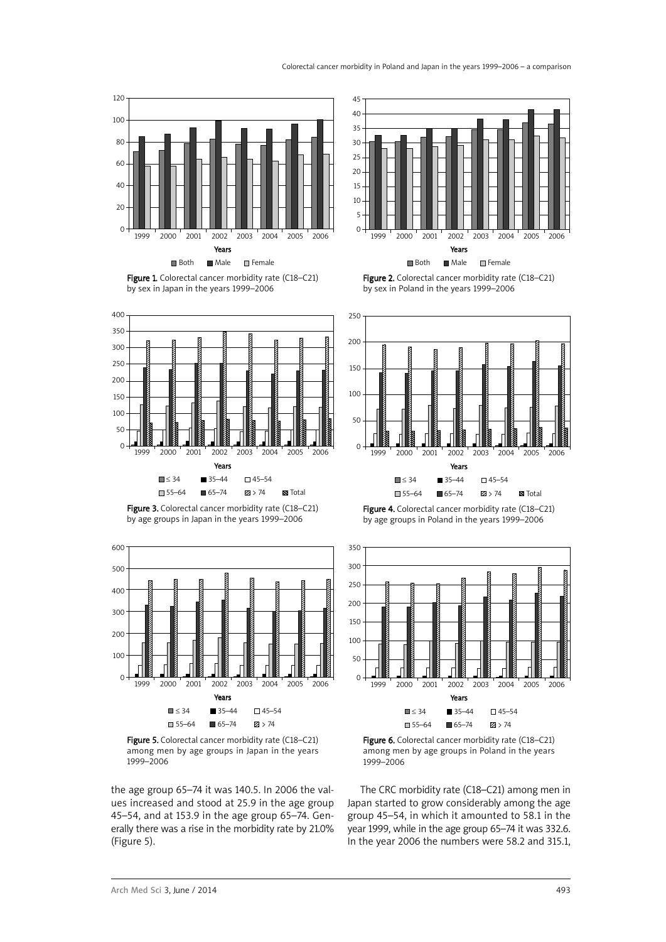



Figure 1. Colorectal cancer morbidity rate (C18–C21) by sex in Japan in the years 1999–2006



Figure 3. Colorectal cancer morbidity rate (C18-C21) by age groups in Japan in the years 1999–2006



Figure 5. Colorectal cancer morbidity rate (C18-C21) among men by age groups in Japan in the years 1999–2006

the age group 65–74 it was 140.5. In 2006 the values increased and stood at 25.9 in the age group 45–54, and at 153.9 in the age group 65–74. Generally there was a rise in the morbidity rate by 21.0% (Figure 5).

Figure 2. Colorectal cancer morbidity rate (C18–C21) by sex in Poland in the years 1999–2006



Figure 4. Colorectal cancer morbidity rate (C18-C21) by age groups in Poland in the years 1999–2006



Figure 6. Colorectal cancer morbidity rate (C18–C21) among men by age groups in Poland in the years 1999–2006

The CRC morbidity rate (C18–C21) among men in Japan started to grow considerably among the age group 45–54, in which it amounted to 58.1 in the year 1999, while in the age group 65–74 it was 332.6. In the year 2006 the numbers were 58.2 and 315.1,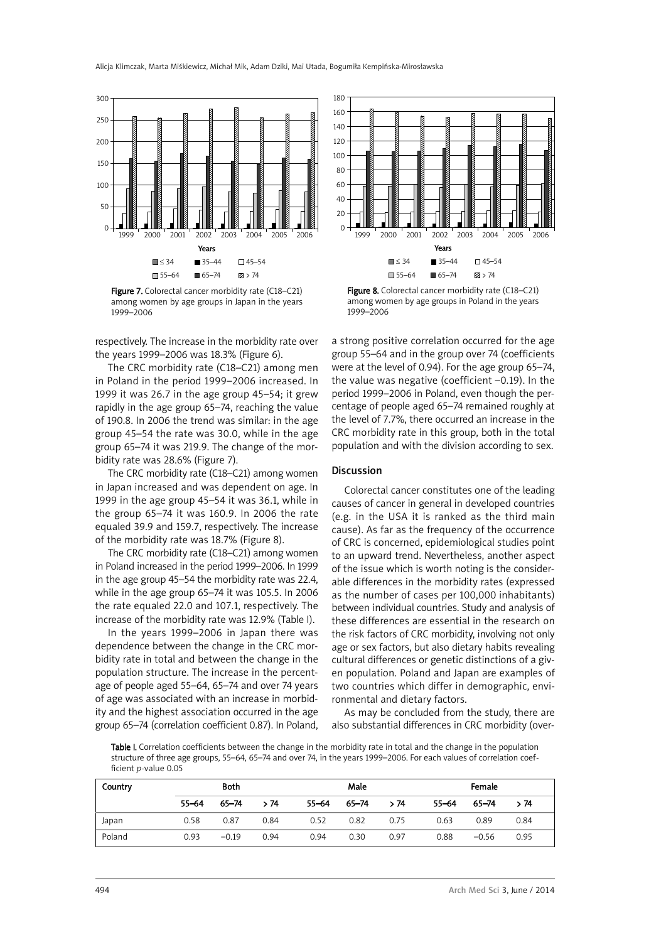

Figure 7. Colorectal cancer morbidity rate (C18-C21) among women by age groups in Japan in the years 1999–2006

respectively. The increase in the morbidity rate over the years 1999–2006 was 18.3% (Figure 6).

The CRC morbidity rate (C18–C21) among men in Poland in the period 1999–2006 increased. In 1999 it was 26.7 in the age group 45–54; it grew rapidly in the age group 65–74, reaching the value of 190.8. In 2006 the trend was similar: in the age group 45–54 the rate was 30.0, while in the age group 65–74 it was 219.9. The change of the morbidity rate was 28.6% (Figure 7).

The CRC morbidity rate (C18–C21) among women in Japan increased and was dependent on age. In 1999 in the age group 45–54 it was 36.1, while in the group 65–74 it was 160.9. In 2006 the rate equaled 39.9 and 159.7, respectively. The increase of the morbidity rate was 18.7% (Figure 8).

The CRC morbidity rate (C18–C21) among women in Poland increased in the period 1999–2006. In 1999 in the age group 45–54 the morbidity rate was 22.4, while in the age group 65–74 it was 105.5. In 2006 the rate equaled 22.0 and 107.1, respectively. The increase of the morbidity rate was 12.9% (Table I).

In the years 1999–2006 in Japan there was dependence between the change in the CRC morbidity rate in total and between the change in the population structure. The increase in the percentage of people aged 55–64, 65–74 and over 74 years of age was associated with an increase in morbidity and the highest association occurred in the age group 65–74 (correlation coefficient 0.87). In Poland,



Figure 8. Colorectal cancer morbidity rate (C18–C21) among women by age groups in Poland in the years 1999–2006

a strong positive correlation occurred for the age group 55–64 and in the group over 74 (coefficients were at the level of 0.94). For the age group 65–74, the value was negative (coefficient –0.19). In the period 1999–2006 in Poland, even though the percentage of people aged 65–74 remained roughly at the level of 7.7%, there occurred an increase in the CRC morbidity rate in this group, both in the total population and with the division according to sex.

#### **Discussion**

Colorectal cancer constitutes one of the leading causes of cancer in general in developed countries (e.g. in the USA it is ranked as the third main cause). As far as the frequency of the occurrence of CRC is concerned, epidemiological studies point to an upward trend. Nevertheless, another aspect of the issue which is worth noting is the considerable differences in the morbidity rates (expressed as the number of cases per 100,000 inhabitants) between individual countries. Study and analysis of these differences are essential in the research on the risk factors of CRC morbidity, involving not only age or sex factors, but also dietary habits revealing cultural differences or genetic distinctions of a given population. Poland and Japan are examples of two countries which differ in demographic, environmental and dietary factors.

As may be concluded from the study, there are also substantial differences in CRC morbidity (over-

Table I. Correlation coefficients between the change in the morbidity rate in total and the change in the population structure of three age groups, 55–64, 65–74 and over 74, in the years 1999–2006. For each values of correlation coefficient *p*-value 0.05

| Country | <b>Both</b> |           |      | Male      |       |      | Female |         |      |
|---------|-------------|-----------|------|-----------|-------|------|--------|---------|------|
|         | $55 - 64$   | $65 - 74$ | >74  | $55 - 64$ | 65–74 | >74  | 55-64  | 65-74   | >74  |
| Japan   | 0.58        | 0.87      | 0.84 | 0.52      | 0.82  | 0.75 | 0.63   | 0.89    | 0.84 |
| Poland  | 0.93        | $-0.19$   | 0.94 | 0.94      | 0.30  | 0.97 | 0.88   | $-0.56$ | 0.95 |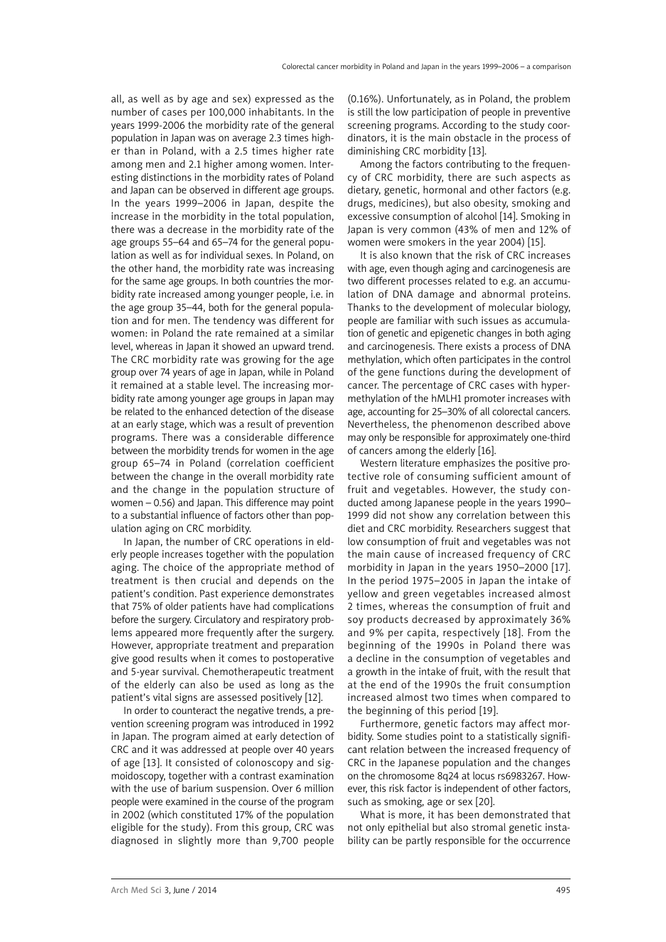all, as well as by age and sex) expressed as the number of cases per 100,000 inhabitants. In the years 1999-2006 the morbidity rate of the general population in Japan was on average 2.3 times higher than in Poland, with a 2.5 times higher rate among men and 2.1 higher among women. Interesting distinctions in the morbidity rates of Poland and Japan can be observed in different age groups. In the years 1999–2006 in Japan, despite the increase in the morbidity in the total population, there was a decrease in the morbidity rate of the age groups 55–64 and 65–74 for the general population as well as for individual sexes. In Poland, on the other hand, the morbidity rate was increasing for the same age groups. In both countries the morbidity rate increased among younger people, i.e. in the age group 35–44, both for the general population and for men. The tendency was different for women: in Poland the rate remained at a similar level, whereas in Japan it showed an upward trend. The CRC morbidity rate was growing for the age group over 74 years of age in Japan, while in Poland it remained at a stable level. The increasing morbidity rate among younger age groups in Japan may be related to the enhanced detection of the disease at an early stage, which was a result of prevention programs. There was a considerable difference between the morbidity trends for women in the age group 65–74 in Poland (correlation coefficient between the change in the overall morbidity rate and the change in the population structure of women – 0.56) and Japan. This difference may point to a substantial influence of factors other than population aging on CRC morbidity.

In Japan, the number of CRC operations in elderly people increases together with the population aging. The choice of the appropriate method of treatment is then crucial and depends on the patient's condition. Past experience demonstrates that 75% of older patients have had complications before the surgery. Circulatory and respiratory problems appeared more frequently after the surgery. However, appropriate treatment and preparation give good results when it comes to postoperative and 5-year survival. Chemotherapeutic treatment of the elderly can also be used as long as the patient's vital signs are assessed positively [12].

In order to counteract the negative trends, a prevention screening program was introduced in 1992 in Japan. The program aimed at early detection of CRC and it was addressed at people over 40 years of age [13]. It consisted of colonoscopy and sigmoidoscopy, together with a contrast examination with the use of barium suspension. Over 6 million people were examined in the course of the program in 2002 (which constituted 17% of the population eligible for the study). From this group, CRC was diagnosed in slightly more than 9,700 people (0.16%). Unfortunately, as in Poland, the problem is still the low participation of people in preventive screening programs. According to the study coordinators, it is the main obstacle in the process of diminishing CRC morbidity [13].

Among the factors contributing to the frequency of CRC morbidity, there are such aspects as dietary, genetic, hormonal and other factors (e.g. drugs, medicines), but also obesity, smoking and excessive consumption of alcohol [14]. Smoking in Japan is very common (43% of men and 12% of women were smokers in the year 2004) [15].

It is also known that the risk of CRC increases with age, even though aging and carcinogenesis are two different processes related to e.g. an accumulation of DNA damage and abnormal proteins. Thanks to the development of molecular biology, people are familiar with such issues as accumulation of genetic and epigenetic changes in both aging and carcinogenesis. There exists a process of DNA methylation, which often participates in the control of the gene functions during the development of cancer. The percentage of CRC cases with hypermethylation of the hMLH1 promoter increases with age, accounting for 25–30% of all colorectal cancers. Nevertheless, the phenomenon described above may only be responsible for approximately one-third of cancers among the elderly [16].

Western literature emphasizes the positive protective role of consuming sufficient amount of fruit and vegetables. However, the study conducted among Japanese people in the years 1990– 1999 did not show any correlation between this diet and CRC morbidity. Researchers suggest that low consumption of fruit and vegetables was not the main cause of increased frequency of CRC morbidity in Japan in the years 1950–2000 [17]. In the period 1975–2005 in Japan the intake of yellow and green vegetables increased almost 2 times, whereas the consumption of fruit and soy products decreased by approximately 36% and 9% per capita, respectively [18]. From the beginning of the 1990s in Poland there was a decline in the consumption of vegetables and a growth in the intake of fruit, with the result that at the end of the 1990s the fruit consumption increased almost two times when compared to the beginning of this period [19].

Furthermore, genetic factors may affect morbidity. Some studies point to a statistically significant relation between the increased frequency of CRC in the Japanese population and the changes on the chromosome 8q24 at locus rs6983267. However, this risk factor is independent of other factors, such as smoking, age or sex [20].

What is more, it has been demonstrated that not only epithelial but also stromal genetic instability can be partly responsible for the occurrence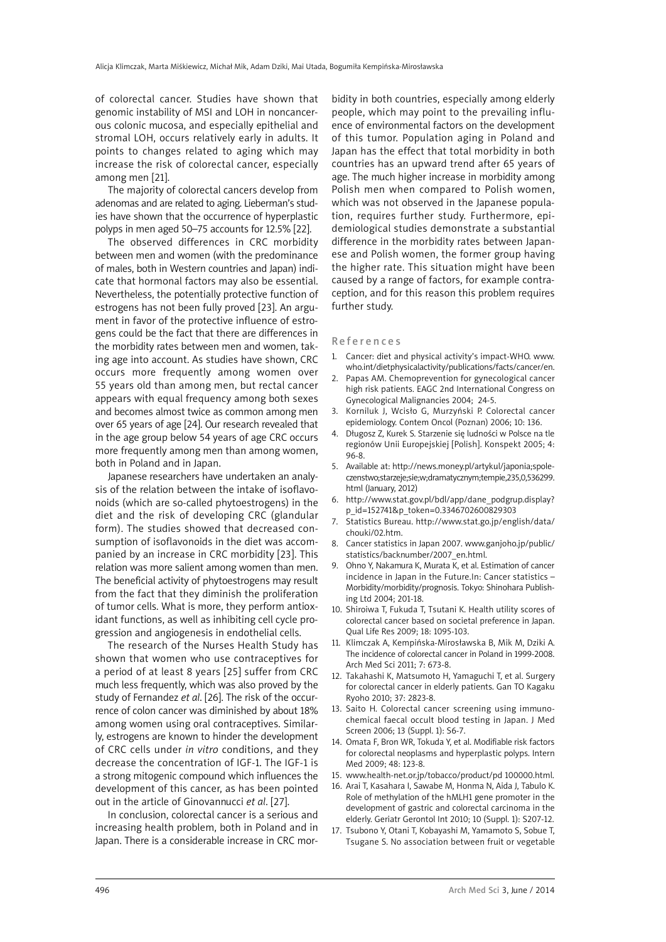of colorectal cancer. Studies have shown that genomic instability of MSI and LOH in noncancerous colonic mucosa, and especially epithelial and stromal LOH, occurs relatively early in adults. It points to changes related to aging which may increase the risk of colorectal cancer, especially among men [21].

The majority of colorectal cancers develop from adenomas and are related to aging. Lieberman's studies have shown that the occurrence of hyperplastic polyps in men aged 50–75 accounts for 12.5% [22].

The observed differences in CRC morbidity between men and women (with the predominance of males, both in Western countries and Japan) indicate that hormonal factors may also be essential. Nevertheless, the potentially protective function of estrogens has not been fully proved [23]. An argument in favor of the protective influence of estrogens could be the fact that there are differences in the morbidity rates between men and women, taking age into account. As studies have shown, CRC occurs more frequently among women over 55 years old than among men, but rectal cancer appears with equal frequency among both sexes and becomes almost twice as common among men over 65 years of age [24]. Our research revealed that in the age group below 54 years of age CRC occurs more frequently among men than among women, both in Poland and in Japan.

Japanese researchers have undertaken an analysis of the relation between the intake of isoflavonoids (which are so-called phytoestrogens) in the diet and the risk of developing CRC (glandular form). The studies showed that decreased consumption of isoflavonoids in the diet was accompanied by an increase in CRC morbidity [23]. This relation was more salient among women than men. The beneficial activity of phytoestrogens may result from the fact that they diminish the proliferation of tumor cells. What is more, they perform antioxidant functions, as well as inhibiting cell cycle progression and angiogenesis in endothelial cells.

The research of the Nurses Health Study has shown that women who use contraceptives for a period of at least 8 years [25] suffer from CRC much less frequently, which was also proved by the study of Fernandez *et al*. [26]. The risk of the occurrence of colon cancer was diminished by about 18% among women using oral contraceptives. Similarly, estrogens are known to hinder the development of CRC cells under *in vitro* conditions, and they decrease the concentration of IGF-1. The IGF-1 is a strong mitogenic compound which influences the development of this cancer, as has been pointed out in the article of Ginovannucci *et al*. [27].

In conclusion, colorectal cancer is a serious and increasing health problem, both in Poland and in Japan. There is a considerable increase in CRC morbidity in both countries, especially among elderly people, which may point to the prevailing influence of environmental factors on the development of this tumor. Population aging in Poland and Japan has the effect that total morbidity in both countries has an upward trend after 65 years of age. The much higher increase in morbidity among Polish men when compared to Polish women, which was not observed in the Japanese population, requires further study. Furthermore, epidemiological studies demonstrate a substantial difference in the morbidity rates between Japanese and Polish women, the former group having the higher rate. This situation might have been caused by a range of factors, for example contraception, and for this reason this problem requires further study.

#### **References**

- 1. Cancer: diet and physical activity's impact-WHO. www. who.int/dietphysicalactivity/publications/facts/cancer/en.
- 2. Papas AM. Chemoprevention for gynecological cancer high risk patients. EAGC 2nd International Congress on Gynecological Malignancies 2004; 24-5.
- 3. Korniluk J, Wcisło G, Murzyński P. Colorectal cancer epidemiology. Contem Oncol (Poznan) 2006; 10: 136.
- 4. Długosz Z, Kurek S. Starzenie się ludności w Polsce na tle regionów Unii Europejskiej [Polish]. Konspekt 2005; 4: 96-8.
- 5. Available at: http://news.money.pl/artykul/japonia;spoleczenstwo;starzeje;sie;w;dramatycznym;tempie,235,0,536299. html (January, 2012)
- http://www.stat.gov.pl/bdl/app/dane\_podgrup.display? p\_id=152741&p\_token=0.3346702600829303
- 7. Statistics Bureau. http://www.stat.go.jp/english/data/ chouki/02.htm.
- 8. Cancer statistics in Japan 2007. www.ganjoho.jp/public/ statistics/backnumber/2007\_en.html.
- 9. Ohno Y, Nakamura K, Murata K, et al. Estimation of cancer incidence in Japan in the Future.In: Cancer statistics – Morbidity/morbidity/prognosis. Tokyo: Shinohara Publishing Ltd 2004; 201-18.
- 10. Shiroiwa T, Fukuda T, Tsutani K. Health utility scores of colorectal cancer based on societal preference in Japan. Qual Life Res 2009; 18: 1095-103.
- 11. Klimczak A, Kempińska-Mirosławska B, Mik M, Dziki A. The incidence of colorectal cancer in Poland in 1999-2008. Arch Med Sci 2011; 7: 673-8.
- 12. Takahashi K, Matsumoto H, Yamaguchi T, et al. Surgery for colorectal cancer in elderly patients. Gan TO Kagaku Ryoho 2010; 37: 2823-8.
- 13. Saito H. Colorectal cancer screening using immunochemical faecal occult blood testing in Japan. J Med Screen 2006; 13 (Suppl. 1): S6-7.
- 14. Omata F, Bron WR, Tokuda Y, et al. Modifiable risk factors for colorectal neoplasms and hyperplastic polyps. Intern Med 2009; 48: 123-8.
- 15. www.health-net.or.jp/tobacco/product/pd 100000.html.
- 16. Arai T, Kasahara I, Sawabe M, Honma N, Aida J, Tabulo K. Role of methylation of the hMLH1 gene promoter in the development of gastric and colorectal carcinoma in the elderly. Geriatr Gerontol Int 2010; 10 (Suppl. 1): S207-12.
- 17. Tsubono Y, Otani T, Kobayashi M, Yamamoto S, Sobue T, Tsugane S. No association between fruit or vegetable